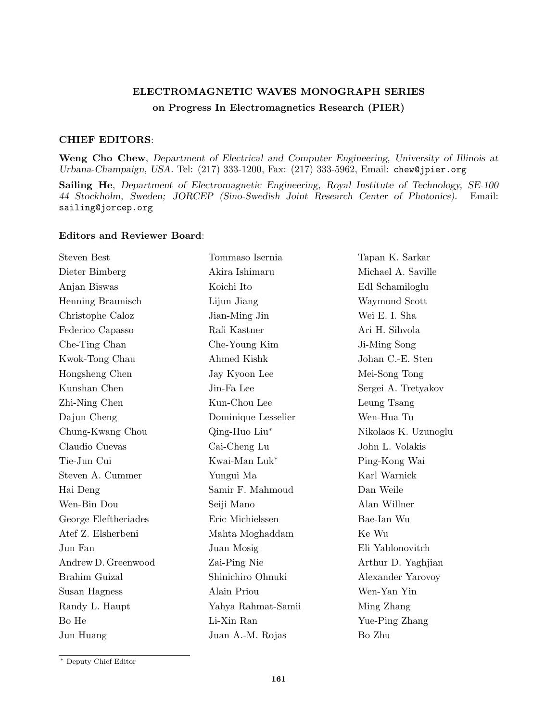## **ELECTROMAGNETIC WAVES MONOGRAPH SERIES on Progress In Electromagnetics Research (PIER)**

## **CHIEF EDITORS**:

**Weng Cho Chew**, *Department of Electrical and Computer Engineering, University of Illinois at Urbana-Champaign, USA.* Tel: (217) 333-1200, Fax: (217) 333-5962, Email: chew@jpier.org

**Sailing He**, *Department of Electromagnetic Engineering, Royal Institute of Technology, SE-100 44 Stockholm, Sweden; JORCEP (Sino-Swedish Joint Research Center of Photonics).* Email: sailing@jorcep.org

## **Editors and Reviewer Board**:

| <b>Steven Best</b>   | Tommaso Isernia     | Tapan K. Sarkar      |
|----------------------|---------------------|----------------------|
| Dieter Bimberg       | Akira Ishimaru      | Michael A. Saville   |
| Anjan Biswas         | Koichi Ito          | Edl Schamiloglu      |
| Henning Braunisch    | Lijun Jiang         | Waymond Scott        |
| Christophe Caloz     | Jian-Ming Jin       | Wei E. I. Sha        |
| Federico Capasso     | Rafi Kastner        | Ari H. Sihvola       |
| Che-Ting Chan        | Che-Young Kim       | Ji-Ming Song         |
| Kwok-Tong Chau       | Ahmed Kishk         | Johan C.-E. Sten     |
| Hongsheng Chen       | Jay Kyoon Lee       | Mei-Song Tong        |
| Kunshan Chen         | Jin-Fa Lee          | Sergei A. Tretyakov  |
| Zhi-Ning Chen        | Kun-Chou Lee        | Leung Tsang          |
| Dajun Cheng          | Dominique Lesselier | Wen-Hua Tu           |
| Chung-Kwang Chou     | Qing-Huo Liu*       | Nikolaos K. Uzunoglu |
| Claudio Cuevas       | Cai-Cheng Lu        | John L. Volakis      |
| Tie-Jun Cui          | Kwai-Man Luk*       | Ping-Kong Wai        |
| Steven A. Cummer     | Yungui Ma           | Karl Warnick         |
| Hai Deng             | Samir F. Mahmoud    | Dan Weile            |
| Wen-Bin Dou          | Seiji Mano          | Alan Willner         |
| George Eleftheriades | Eric Michielssen    | Bae-Ian Wu           |
| Atef Z. Elsherbeni   | Mahta Moghaddam     | Ke Wu                |
| Jun Fan              | Juan Mosig          | Eli Yablonovitch     |
| Andrew D. Greenwood  | Zai-Ping Nie        | Arthur D. Yaghjian   |
| Brahim Guizal        | Shinichiro Ohnuki   | Alexander Yarovoy    |
| Susan Hagness        | Alain Priou         | Wen-Yan Yin          |
| Randy L. Haupt       | Yahya Rahmat-Samii  | Ming Zhang           |
| Bo He                | Li-Xin Ran          | Yue-Ping Zhang       |
| Jun Huang            | Juan A.-M. Rojas    | Bo Zhu               |

*<sup>∗</sup>* Deputy Chief Editor